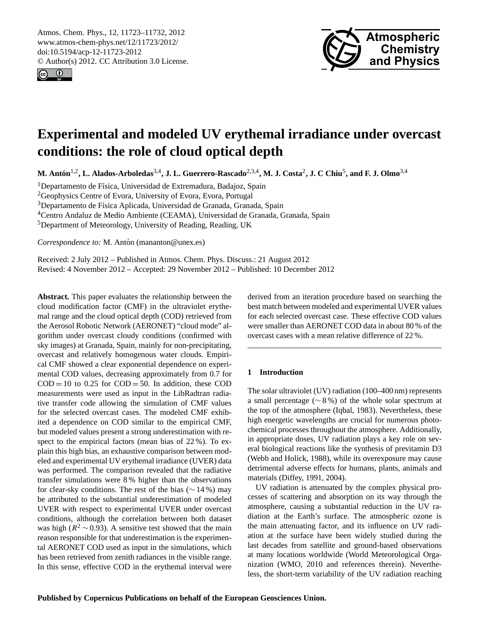<span id="page-0-0"></span>Atmos. Chem. Phys., 12, 11723–11732, 2012 www.atmos-chem-phys.net/12/11723/2012/ doi:10.5194/acp-12-11723-2012 © Author(s) 2012. CC Attribution 3.0 License.





# **Experimental and modeled UV erythemal irradiance under overcast conditions: the role of cloud optical depth**

**M. Anton´** 1,2**, L. Alados-Arboledas**3,4**, J. L. Guerrero-Rascado**2,3,4**, M. J. Costa**<sup>2</sup> **, J. C Chiu**<sup>5</sup> **, and F. J. Olmo**3,4

 $1$ Departamento de Física, Universidad de Extremadura, Badajoz, Spain

<sup>2</sup>Geophysics Centre of Evora, University of Evora, Evora, Portugal

<sup>3</sup>Departamento de Física Aplicada, Universidad de Granada, Granada, Spain

<sup>4</sup>Centro Andaluz de Medio Ambiente (CEAMA), Universidad de Granada, Granada, Spain

<sup>5</sup>Department of Meteorology, University of Reading, Reading, UK

*Correspondence to:* M. Antón (mananton@unex.es)

Received: 2 July 2012 – Published in Atmos. Chem. Phys. Discuss.: 21 August 2012 Revised: 4 November 2012 – Accepted: 29 November 2012 – Published: 10 December 2012

**Abstract.** This paper evaluates the relationship between the cloud modification factor (CMF) in the ultraviolet erythemal range and the cloud optical depth (COD) retrieved from the Aerosol Robotic Network (AERONET) "cloud mode" algorithm under overcast cloudy conditions (confirmed with sky images) at Granada, Spain, mainly for non-precipitating, overcast and relatively homogenous water clouds. Empirical CMF showed a clear exponential dependence on experimental COD values, decreasing approximately from 0.7 for  $COD = 10$  to 0.25 for  $COD = 50$ . In addition, these COD measurements were used as input in the LibRadtran radiative transfer code allowing the simulation of CMF values for the selected overcast cases. The modeled CMF exhibited a dependence on COD similar to the empirical CMF, but modeled values present a strong underestimation with respect to the empirical factors (mean bias of 22 %). To explain this high bias, an exhaustive comparison between modeled and experimental UV erythemal irradiance (UVER) data was performed. The comparison revealed that the radiative transfer simulations were 8 % higher than the observations for clear-sky conditions. The rest of the bias ( $\sim$  14 %) may be attributed to the substantial underestimation of modeled UVER with respect to experimental UVER under overcast conditions, although the correlation between both dataset was high ( $R^2 \sim 0.93$ ). A sensitive test showed that the main reason responsible for that underestimation is the experimental AERONET COD used as input in the simulations, which has been retrieved from zenith radiances in the visible range. In this sense, effective COD in the erythemal interval were

derived from an iteration procedure based on searching the best match between modeled and experimental UVER values for each selected overcast case. These effective COD values were smaller than AERONET COD data in about 80 % of the overcast cases with a mean relative difference of 22 %.

## **1 Introduction**

The solar ultraviolet (UV) radiation (100–400 nm) represents a small percentage (∼ 8 %) of the whole solar spectrum at the top of the atmosphere (Iqbal, 1983). Nevertheless, these high energetic wavelengths are crucial for numerous photochemical processes throughout the atmosphere. Additionally, in appropriate doses, UV radiation plays a key role on several biological reactions like the synthesis of previtamin D3 (Webb and Holick, 1988), while its overexposure may cause detrimental adverse effects for humans, plants, animals and materials (Diffey, 1991, 2004).

UV radiation is attenuated by the complex physical processes of scattering and absorption on its way through the atmosphere, causing a substantial reduction in the UV radiation at the Earth's surface. The atmospheric ozone is the main attenuating factor, and its influence on UV radiation at the surface have been widely studied during the last decades from satellite and ground-based observations at many locations worldwide (World Meteorological Organization (WMO, 2010 and references therein). Nevertheless, the short-term variability of the UV radiation reaching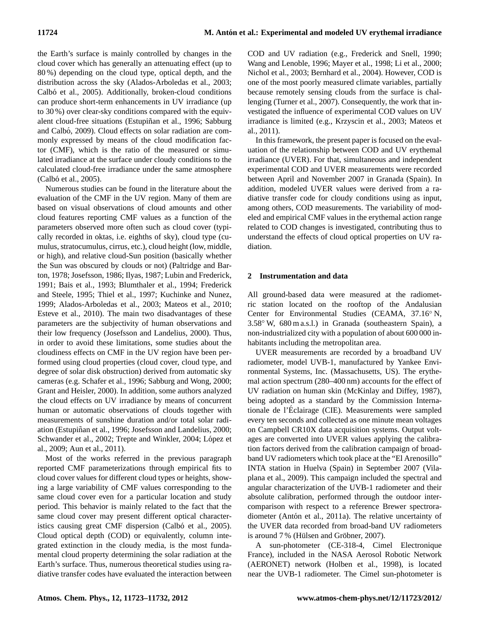the Earth's surface is mainly controlled by changes in the cloud cover which has generally an attenuating effect (up to 80 %) depending on the cloud type, optical depth, and the distribution across the sky (Alados-Arboledas et al., 2003; Calbó et al., 2005). Additionally, broken-cloud conditions can produce short-term enhancements in UV irradiance (up to 30 %) over clear-sky conditions compared with the equivalent cloud-free situations (Estupiñan et al., 1996; Sabburg and Calbó, 2009). Cloud effects on solar radiation are commonly expressed by means of the cloud modification factor (CMF), which is the ratio of the measured or simulated irradiance at the surface under cloudy conditions to the calculated cloud-free irradiance under the same atmosphere (Calbó et al., 2005).

Numerous studies can be found in the literature about the evaluation of the CMF in the UV region. Many of them are based on visual observations of cloud amounts and other cloud features reporting CMF values as a function of the parameters observed more often such as cloud cover (typically recorded in oktas, i.e. eighths of sky), cloud type (cumulus, stratocumulus, cirrus, etc.), cloud height (low, middle, or high), and relative cloud-Sun position (basically whether the Sun was obscured by clouds or not) (Paltridge and Barton, 1978; Josefsson, 1986; Ilyas, 1987; Lubin and Frederick, 1991; Bais et al., 1993; Blumthaler et al., 1994; Frederick and Steele, 1995; Thiel et al., 1997; Kuchinke and Nunez, 1999; Alados-Arboledas et al., 2003; Mateos et al., 2010; Esteve et al., 2010). The main two disadvantages of these parameters are the subjectivity of human observations and their low frequency (Josefsson and Landelius, 2000). Thus, in order to avoid these limitations, some studies about the cloudiness effects on CMF in the UV region have been performed using cloud properties (cloud cover, cloud type, and degree of solar disk obstruction) derived from automatic sky cameras (e.g. Schafer et al., 1996; Sabburg and Wong, 2000; Grant and Heisler, 2000). In addition, some authors analyzed the cloud effects on UV irradiance by means of concurrent human or automatic observations of clouds together with measurements of sunshine duration and/or total solar radiation (Estupiñan et al., 1996; Josefsson and Landelius, 2000; Schwander et al., 2002; Trepte and Winkler, 2004; López et al., 2009; Aun et al., 2011).

Most of the works referred in the previous paragraph reported CMF parameterizations through empirical fits to cloud cover values for different cloud types or heights, showing a large variability of CMF values corresponding to the same cloud cover even for a particular location and study period. This behavior is mainly related to the fact that the same cloud cover may present different optical characteristics causing great CMF dispersion (Calbó et al., 2005). Cloud optical depth (COD) or equivalently, column integrated extinction in the cloudy media, is the most fundamental cloud property determining the solar radiation at the Earth's surface. Thus, numerous theoretical studies using radiative transfer codes have evaluated the interaction between

COD and UV radiation (e.g., Frederick and Snell, 1990; Wang and Lenoble, 1996; Mayer et al., 1998; Li et al., 2000; Nichol et al., 2003; Bernhard et al., 2004). However, COD is one of the most poorly measured climate variables, partially because remotely sensing clouds from the surface is challenging (Turner et al., 2007). Consequently, the work that investigated the influence of experimental COD values on UV irradiance is limited (e.g., Krzyscin et al., 2003; Mateos et al., 2011).

In this framework, the present paper is focused on the evaluation of the relationship between COD and UV erythemal irradiance (UVER). For that, simultaneous and independent experimental COD and UVER measurements were recorded between April and November 2007 in Granada (Spain). In addition, modeled UVER values were derived from a radiative transfer code for cloudy conditions using as input, among others, COD measurements. The variability of modeled and empirical CMF values in the erythemal action range related to COD changes is investigated, contributing thus to understand the effects of cloud optical properties on UV radiation.

### **2 Instrumentation and data**

All ground-based data were measured at the radiometric station located on the rooftop of the Andalusian Center for Environmental Studies (CEAMA, 37.16◦ N, 3.58◦ W, 680 m a.s.l.) in Granada (southeastern Spain), a non-industrialized city with a population of about 600 000 inhabitants including the metropolitan area.

UVER measurements are recorded by a broadband UV radiometer, model UVB-1, manufactured by Yankee Environmental Systems, Inc. (Massachusetts, US). The erythemal action spectrum (280–400 nm) accounts for the effect of UV radiation on human skin (McKinlay and Diffey, 1987), being adopted as a standard by the Commission Internationale de l'Eclairage (CIE). Measurements were sampled ´ every ten seconds and collected as one minute mean voltages on Campbell CR10X data acquisition systems. Output voltages are converted into UVER values applying the calibration factors derived from the calibration campaign of broadband UV radiometers which took place at the "El Arenosillo" INTA station in Huelva (Spain) in September 2007 (Vilaplana et al., 2009). This campaign included the spectral and angular characterization of the UVB-1 radiometer and their absolute calibration, performed through the outdoor intercomparison with respect to a reference Brewer spectroradiometer (Antón et al., 2011a). The relative uncertainty of the UVER data recorded from broad-band UV radiometers is around  $7\%$  (Hülsen and Gröbner, 2007).

A sun-photometer (CE-318-4, Cimel Electronique France), included in the NASA Aerosol Robotic Network (AERONET) network (Holben et al., 1998), is located near the UVB-1 radiometer. The Cimel sun-photometer is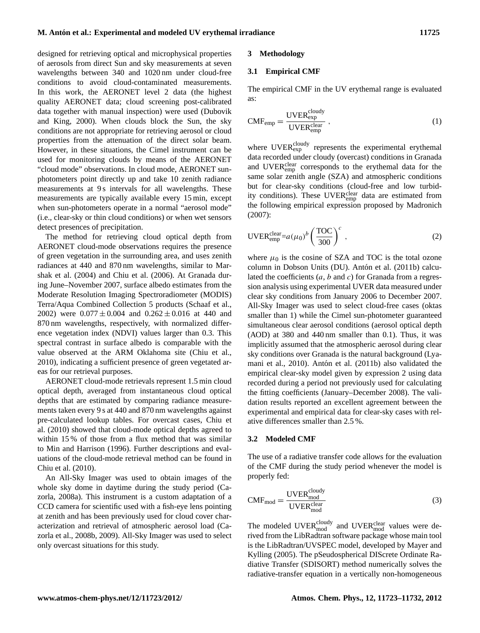designed for retrieving optical and microphysical properties of aerosols from direct Sun and sky measurements at seven wavelengths between 340 and 1020 nm under cloud-free conditions to avoid cloud-contaminated measurements. In this work, the AERONET level 2 data (the highest quality AERONET data; cloud screening post-calibrated data together with manual inspection) were used (Dubovik and King, 2000). When clouds block the Sun, the sky conditions are not appropriate for retrieving aerosol or cloud properties from the attenuation of the direct solar beam. However, in these situations, the Cimel instrument can be used for monitoring clouds by means of the AERONET "cloud mode" observations. In cloud mode, AERONET sunphotometers point directly up and take 10 zenith radiance measurements at 9s intervals for all wavelengths. These measurements are typically available every 15 min, except when sun-photometers operate in a normal "aerosol mode"

detect presences of precipitation. The method for retrieving cloud optical depth from AERONET cloud-mode observations requires the presence of green vegetation in the surrounding area, and uses zenith radiances at 440 and 870 nm wavelengths, similar to Marshak et al. (2004) and Chiu et al. (2006). At Granada during June–November 2007, surface albedo estimates from the Moderate Resolution Imaging Spectroradiometer (MODIS) Terra/Aqua Combined Collection 5 products (Schaaf et al., 2002) were  $0.077 \pm 0.004$  and  $0.262 \pm 0.016$  at 440 and 870 nm wavelengths, respectively, with normalized difference vegetation index (NDVI) values larger than 0.3. This spectral contrast in surface albedo is comparable with the value observed at the ARM Oklahoma site (Chiu et al., 2010), indicating a sufficient presence of green vegetated areas for our retrieval purposes.

(i.e., clear-sky or thin cloud conditions) or when wet sensors

AERONET cloud-mode retrievals represent 1.5 min cloud optical depth, averaged from instantaneous cloud optical depths that are estimated by comparing radiance measurements taken every 9 s at 440 and 870 nm wavelengths against pre-calculated lookup tables. For overcast cases, Chiu et al. (2010) showed that cloud-mode optical depths agreed to within 15 % of those from a flux method that was similar to Min and Harrison (1996). Further descriptions and evaluations of the cloud-mode retrieval method can be found in Chiu et al. (2010).

An All-Sky Imager was used to obtain images of the whole sky dome in daytime during the study period (Cazorla, 2008a). This instrument is a custom adaptation of a CCD camera for scientific used with a fish-eye lens pointing at zenith and has been previously used for cloud cover characterization and retrieval of atmospheric aerosol load (Cazorla et al., 2008b, 2009). All-Sky Imager was used to select only overcast situations for this study.

#### **3 Methodology**

#### **3.1 Empirical CMF**

The empirical CMF in the UV erythemal range is evaluated as:

$$
CMF_{emp} = \frac{UVER_{exp}^{cloudy}}{UVER_{emp}^{clear}} ,
$$
 (1)

where  $\text{UVER}_{\text{exp}}^{\text{cloudy}}$  represents the experimental erythemal data recorded under cloudy (overcast) conditions in Granada and UVER<sup>clear</sup> corresponds to the erythemal data for the same solar zenith angle (SZA) and atmospheric conditions but for clear-sky conditions (cloud-free and low turbidity conditions). These UVER<sup>clear</sup> data are estimated from the following empirical expression proposed by Madronich (2007):

$$
UVER_{emp}^{clear} = a(\mu_0)^b \left(\frac{TOC}{300}\right)^c,
$$
\n(2)

where  $\mu_0$  is the cosine of SZA and TOC is the total ozone column in Dobson Units (DU). Antón et al. (2011b) calculated the coefficients  $(a, b \text{ and } c)$  for Granada from a regression analysis using experimental UVER data measured under clear sky conditions from January 2006 to December 2007. All-Sky Imager was used to select cloud-free cases (oktas smaller than 1) while the Cimel sun-photometer guaranteed simultaneous clear aerosol conditions (aerosol optical depth (AOD) at 380 and 440 nm smaller than 0.1). Thus, it was implicitly assumed that the atmospheric aerosol during clear sky conditions over Granada is the natural background (Lyamani et al., 2010). Antón et al. (2011b) also validated the empirical clear-sky model given by expression 2 using data recorded during a period not previously used for calculating the fitting coefficients (January–December 2008). The validation results reported an excellent agreement between the experimental and empirical data for clear-sky cases with relative differences smaller than 2.5 %.

#### **3.2 Modeled CMF**

The use of a radiative transfer code allows for the evaluation of the CMF during the study period whenever the model is properly fed:

$$
CMF_{mod} = \frac{UVER_{mod}^{cloudy}}{UVER_{mod}^{clear}}
$$
 (3)

The modeled UVER<sup>cloudy</sup> and UVER<sup>clear</sup> values were derived from the LibRadtran software package whose main tool is the LibRadtran/UVSPEC model, developed by Mayer and Kylling (2005). The pSeudospherical DIScrete Ordinate Radiative Transfer (SDISORT) method numerically solves the radiative-transfer equation in a vertically non-homogeneous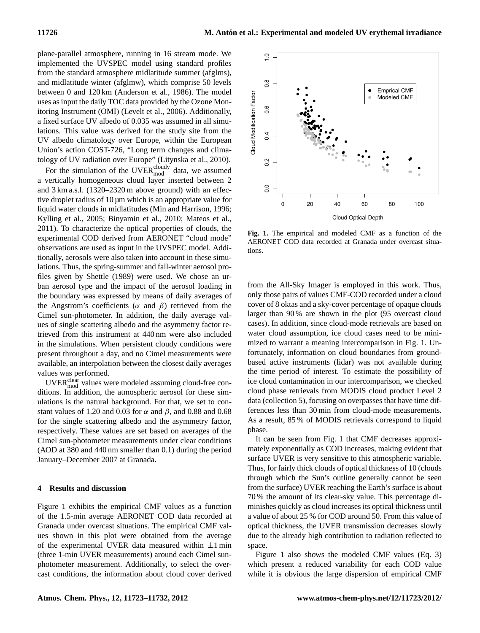plane-parallel atmosphere, running in 16 stream mode. We implemented the UVSPEC model using standard profiles from the standard atmosphere midlatitude summer (afglms), and midlatitude winter (afglmw), which comprise 50 levels between 0 and 120 km (Anderson et al., 1986). The model uses as input the daily TOC data provided by the Ozone Monitoring Instrument (OMI) (Levelt et al., 2006). Additionally, a fixed surface UV albedo of 0.035 was assumed in all simulations. This value was derived for the study site from the UV albedo climatology over Europe, within the European Union's action COST-726, "Long term changes and climatology of UV radiation over Europe" (Litynska et al., 2010).

For the simulation of the UVER $_{\text{mod}}^{\text{cloudy}}$  data, we assumed a vertically homogeneous cloud layer inserted between 2 and 3 km a.s.l. (1320–2320 m above ground) with an effective droplet radius of 10 µm which is an appropriate value for liquid water clouds in midlatitudes (Min and Harrison, 1996; Kylling et al., 2005; Binyamin et al., 2010; Mateos et al., 2011). To characterize the optical properties of clouds, the experimental COD derived from AERONET "cloud mode" observations are used as input in the UVSPEC model. Additionally, aerosols were also taken into account in these simulations. Thus, the spring-summer and fall-winter aerosol profiles given by Shettle (1989) were used. We chose an urban aerosol type and the impact of the aerosol loading in the boundary was expressed by means of daily averages of the Angstrom's coefficients ( $\alpha$  and  $\beta$ ) retrieved from the Cimel sun-photometer. In addition, the daily average values of single scattering albedo and the asymmetry factor retrieved from this instrument at 440 nm were also included in the simulations. When persistent cloudy conditions were present throughout a day, and no Cimel measurements were available, an interpolation between the closest daily averages values was performed.

UVER<sup>clear</sup> values were modeled assuming cloud-free conditions. In addition, the atmospheric aerosol for these simulations is the natural background. For that, we set to constant values of 1.20 and 0.03 for  $\alpha$  and  $\beta$ , and 0.88 and 0.68 for the single scattering albedo and the asymmetry factor, respectively. These values are set based on averages of the Cimel sun-photometer measurements under clear conditions (AOD at 380 and 440 nm smaller than 0.1) during the period January–December 2007 at Granada.

#### **4 Results and discussion**

Figure 1 exhibits the empirical CMF values as a function of the 1.5-min average AERONET COD data recorded at Granada under overcast situations. The empirical CMF values shown in this plot were obtained from the average of the experimental UVER data measured within  $\pm 1$  min (three 1-min UVER measurements) around each Cimel sunphotometer measurement. Additionally, to select the overcast conditions, the information about cloud cover derived



AERONET COD data recorded at Granada under overcast situa-**Fig. 1.** The empirical and modeled CMF as a function of the tions.

from the All-Sky Imager is employed in this work. Thus, only those pairs of values CMF-COD recorded under a cloud cover of 8 oktas and a sky-cover percentage of opaque clouds larger than 90 % are shown in the plot (95 overcast cloud cases). In addition, since cloud-mode retrievals are based on water cloud assumption, ice cloud cases need to be minimized to warrant a meaning intercomparison in Fig. 1. Unfortunately, information on cloud boundaries from groundbased active instruments (lidar) was not available during the time period of interest. To estimate the possibility of ice cloud contamination in our intercomparison, we checked cloud phase retrievals from MODIS cloud product Level 2 data (collection 5), focusing on overpasses that have time differences less than 30 min from cloud-mode measurements. As a result, 85 % of MODIS retrievals correspond to liquid phase.

It can be seen from Fig. 1 that CMF decreases approximately exponentially as COD increases, making evident that surface UVER is very sensitive to this atmospheric variable. Thus, for fairly thick clouds of optical thickness of 10 (clouds through which the Sun's outline generally cannot be seen from the surface) UVER reaching the Earth's surface is about 70 % the amount of its clear-sky value. This percentage diminishes quickly as cloud increases its optical thickness until a value of about 25 % for COD around 50. From this value of optical thickness, the UVER transmission decreases slowly due to the already high contribution to radiation reflected to space.

Figure 1 also shows the modeled CMF values (Eq. 3) which present a reduced variability for each COD value while it is obvious the large dispersion of empirical CMF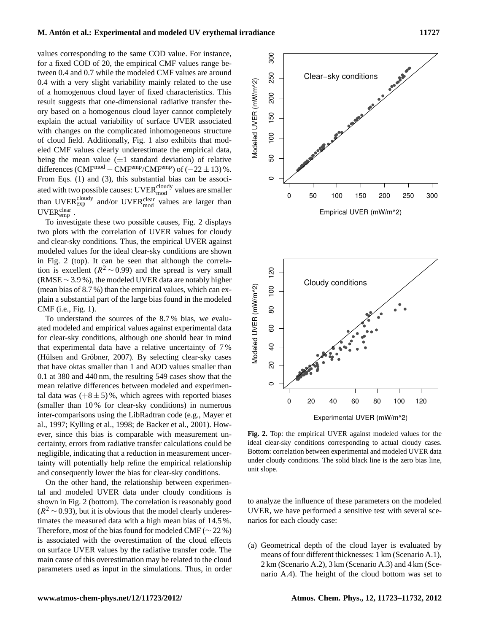values corresponding to the same COD value. For instance, for a fixed COD of 20, the empirical CMF values range between 0.4 and 0.7 while the modeled CMF values are around 0.4 with a very slight variability mainly related to the use of a homogenous cloud layer of fixed characteristics. This result suggests that one-dimensional radiative transfer theory based on a homogenous cloud layer cannot completely explain the actual variability of surface UVER associated with changes on the complicated inhomogeneous structure of cloud field. Additionally, Fig. 1 also exhibits that modeled CMF values clearly underestimate the empirical data, being the mean value  $(\pm 1)$  standard deviation) of relative differences (CMF<sup>mod</sup> – CMF<sup>emp</sup>/CMF<sup>emp</sup>) of (–22  $\pm$  13) %. From Eqs. (1) and (3), this substantial bias can be associated with two possible causes:  $\text{UVER}^{\text{cloudy}}_{\text{mod}}$  values are smaller than UVER $_{\rm exp}^{\rm cloud}$  and/or UVER $_{\rm mod}^{\rm clear}$  values are larger than UVERclear.

To investigate these two possible causes, Fig. 2 displays two plots with the correlation of UVER values for cloudy and clear-sky conditions. Thus, the empirical UVER against modeled values for the ideal clear-sky conditions are shown in Fig. 2 (top). It can be seen that although the correlation is excellent ( $R^2 \sim 0.99$ ) and the spread is very small (RMSE ∼ 3.9 %), the modeled UVER data are notably higher (mean bias of 8.7 %) than the empirical values, which can explain a substantial part of the large bias found in the modeled CMF (i.e., Fig. 1).

To understand the sources of the 8.7 % bias, we evaluated modeled and empirical values against experimental data for clear-sky conditions, although one should bear in mind that experimental data have a relative uncertainty of 7 % (Hülsen and Gröbner, 2007). By selecting clear-sky cases that have oktas smaller than 1 and AOD values smaller than 0.1 at 380 and 440 nm, the resulting 549 cases show that the mean relative differences between modeled and experimental data was  $(+8 \pm 5)$ %, which agrees with reported biases (smaller than 10 % for clear-sky conditions) in numerous inter-comparisons using the LibRadtran code (e.g., Mayer et al., 1997; Kylling et al., 1998; de Backer et al., 2001). However, since this bias is comparable with measurement uncertainty, errors from radiative transfer calculations could be negligible, indicating that a reduction in measurement uncertainty will potentially help refine the empirical relationship and consequently lower the bias for clear-sky conditions.

On the other hand, the relationship between experimental and modeled UVER data under cloudy conditions is shown in Fig. 2 (bottom). The correlation is reasonably good  $(R^2 \sim 0.93)$ , but it is obvious that the model clearly underestimates the measured data with a high mean bias of 14.5 %. Therefore, most of the bias found for modeled CMF ( $\sim$  22 %) is associated with the overestimation of the cloud effects on surface UVER values by the radiative transfer code. The main cause of this overestimation may be related to the cloud parameters used as input in the simulations. Thus, in order



150

 $100$ 

<u>င</u>္က

 $\circ$ 

 $\subset$ 

300

250

200

Modeled UVER (mW/m^2)

Modeled UVER (mW/m^2)

**Fig. 2.** Top: the empirical UVER against modeled values for the ideal clear-sky conditions corresponding to actual cloudy cases. Bottom: correlation between experimental and modeled UVER data under cloudy conditions. The solid black line is the zero bias line, unit slope.

0 20 40 60 80 100 120

Experimental UVER (mW/m^2)

0 50 100 150 200 250 300

Clear−sky conditions

to analyze the influence of these parameters on the modeled UVER, we have performed a sensitive test with several scenarios for each cloudy case:

(a) Geometrical depth of the cloud layer is evaluated by means of four different thicknesses: 1 km (Scenario A.1), 2 km (Scenario A.2), 3 km (Scenario A.3) and 4 km (Scenario A.4). The height of the cloud bottom was set to

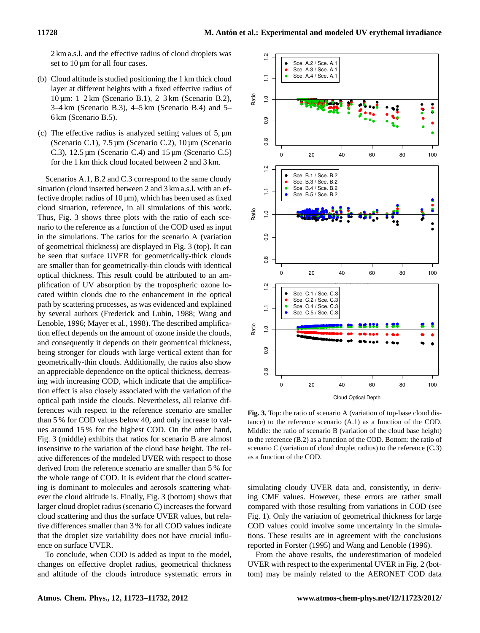2 km a.s.l. and the effective radius of cloud droplets was set to 10  $\mu$ m for all four cases.

- (b) Cloud altitude is studied positioning the 1 km thick cloud layer at different heights with a fixed effective radius of 10 µm: 1–2 km (Scenario B.1), 2–3 km (Scenario B.2), 3–4 km (Scenario B.3), 4–5 km (Scenario B.4) and 5– 6 km (Scenario B.5).
- (c) The effective radius is analyzed setting values of 5, µm (Scenario C.1), 7.5 µm (Scenario C.2), 10 µm (Scenario C.3),  $12.5 \,\text{\mu m}$  (Scenario C.4) and  $15 \,\text{\mu m}$  (Scenario C.5) for the 1 km thick cloud located between 2 and 3 km.

Scenarios A.1, B.2 and C.3 correspond to the same cloudy situation (cloud inserted between 2 and 3 km a.s.l. with an effective droplet radius of  $10 \mu m$ ), which has been used as fixed cloud situation, reference, in all simulations of this work. Thus, Fig. 3 shows three plots with the ratio of each scenario to the reference as a function of the COD used as input in the simulations. The ratios for the scenario A (variation of geometrical thickness) are displayed in Fig. 3 (top). It can be seen that surface UVER for geometrically-thick clouds are smaller than for geometrically-thin clouds with identical optical thickness. This result could be attributed to an amplification of UV absorption by the tropospheric ozone located within clouds due to the enhancement in the optical path by scattering processes, as was evidenced and explained by several authors (Frederick and Lubin, 1988; Wang and Lenoble, 1996; Mayer et al., 1998). The described amplification effect depends on the amount of ozone inside the clouds, and consequently it depends on their geometrical thickness, being stronger for clouds with large vertical extent than for geometrically-thin clouds. Additionally, the ratios also show an appreciable dependence on the optical thickness, decreasing with increasing COD, which indicate that the amplification effect is also closely associated with the variation of the optical path inside the clouds. Nevertheless, all relative differences with respect to the reference scenario are smaller than  $5\%$  for COD values below 40, and only increase to values around 15 % for the highest COD. On the other hand, Fig. 3 (middle) exhibits that ratios for scenario B are almost insensitive to the variation of the cloud base height. The relative differences of the modeled UVER with respect to those derived from the reference scenario are smaller than 5 % for the whole range of COD. It is evident that the cloud scattering is dominant to molecules and aerosols scattering whatever the cloud altitude is. Finally, Fig. 3 (bottom) shows that larger cloud droplet radius (scenario C) increases the forward cloud scattering and thus the surface UVER values, but relative differences smaller than 3 % for all COD values indicate that the droplet size variability does not have crucial influence on surface UVER.

To conclude, when COD is added as input to the model, changes on effective droplet radius, geometrical thickness and altitude of the clouds introduce systematic errors in



**Fig. 3.** Top: the ratio of scenario A (variation of top-base cloud distance) to the reference scenario (A.1) as a function of the COD. Middle: the ratio of scenario B (variation of the cloud base height) to the reference (B.2) as a function of the COD. Bottom: the ratio of scenario C (variation of cloud droplet radius) to the reference (C.3) as a function of the COD.

simulating cloudy UVER data and, consistently, in deriving CMF values. However, these errors are rather small compared with those resulting from variations in COD (see Fig. 1). Only the variation of geometrical thickness for large COD values could involve some uncertainty in the simulations. These results are in agreement with the conclusions reported in Forster (1995) and Wang and Lenoble (1996).

From the above results, the underestimation of modeled UVER with respect to the experimental UVER in Fig. 2 (bottom) may be mainly related to the AERONET COD data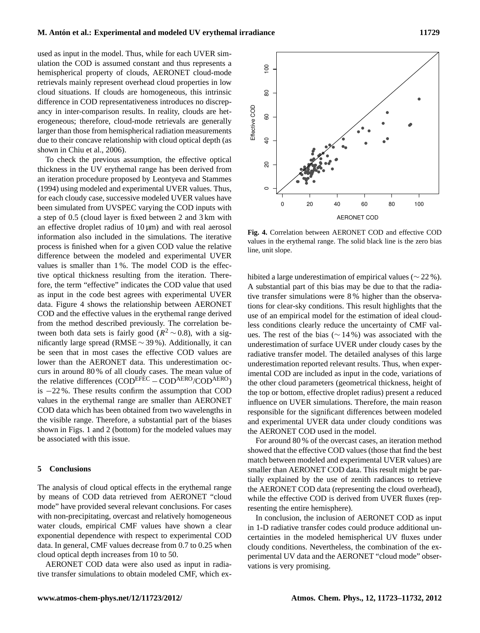used as input in the model. Thus, while for each UVER simulation the COD is assumed constant and thus represents a hemispherical property of clouds, AERONET cloud-mode retrievals mainly represent overhead cloud properties in low cloud situations. If clouds are homogeneous, this intrinsic difference in COD representativeness introduces no discrepancy in inter-comparison results. In reality, clouds are heterogeneous; therefore, cloud-mode retrievals are generally larger than those from hemispherical radiation measurements due to their concave relationship with cloud optical depth (as shown in Chiu et al., 2006).

To check the previous assumption, the effective optical thickness in the UV erythemal range has been derived from an iteration procedure proposed by Leontyeva and Stammes (1994) using modeled and experimental UVER values. Thus, for each cloudy case, successive modeled UVER values have been simulated from UVSPEC varying the COD inputs with a step of 0.5 (cloud layer is fixed between 2 and 3 km with an effective droplet radius of  $10 \mu m$ ) and with real aerosol information also included in the simulations. The iterative process is finished when for a given COD value the relative difference between the modeled and experimental UVER values is smaller than 1 %. The model COD is the effective optical thickness resulting from the iteration. Therefore, the term "effective" indicates the COD value that used as input in the code best agrees with experimental UVER data. Figure 4 shows the relationship between AERONET COD and the effective values in the erythemal range derived from the method described previously. The correlation between both data sets is fairly good ( $R^2 \sim 0.8$ ), with a significantly large spread (RMSE ∼ 39 %). Additionally, it can be seen that in most cases the effective COD values are lower than the AERONET data. This underestimation occurs in around 80 % of all cloudy cases. The mean value of the relative differences (CODEFEC − CODAERO/CODAERO) is −22 %. These results confirm the assumption that COD values in the erythemal range are smaller than AERONET COD data which has been obtained from two wavelengths in the visible range. Therefore, a substantial part of the biases shown in Figs. 1 and 2 (bottom) for the modeled values may be associated with this issue.

#### **5 Conclusions**

The analysis of cloud optical effects in the erythemal range by means of COD data retrieved from AERONET "cloud mode" have provided several relevant conclusions. For cases with non-precipitating, overcast and relatively homogeneous water clouds, empirical CMF values have shown a clear exponential dependence with respect to experimental COD data. In general, CMF values decrease from 0.7 to 0.25 when cloud optical depth increases from 10 to 50.

AERONET COD data were also used as input in radiative transfer simulations to obtain modeled CMF, which ex-



 $\sum$  line, unit slope. **Fig. 4.** Correlation between AERONET COD and effective COD values in the erythemal range. The solid black line is the zero bias

hibited a large underestimation of empirical values ( $\sim$  22 %). A substantial part of this bias may be due to that the radiative transfer simulations were 8 % higher than the observations for clear-sky conditions. This result highlights that the use of an empirical model for the estimation of ideal cloudless conditions clearly reduce the uncertainty of CMF values. The rest of the bias (∼ 14 %) was associated with the underestimation of surface UVER under cloudy cases by the radiative transfer model. The detailed analyses of this large underestimation reported relevant results. Thus, when experimental COD are included as input in the code, variations of the other cloud parameters (geometrical thickness, height of the top or bottom, effective droplet radius) present a reduced influence on UVER simulations. Therefore, the main reason responsible for the significant differences between modeled and experimental UVER data under cloudy conditions was the AERONET COD used in the model.

For around 80 % of the overcast cases, an iteration method showed that the effective COD values (those that find the best match between modeled and experimental UVER values) are smaller than AERONET COD data. This result might be partially explained by the use of zenith radiances to retrieve the AERONET COD data (representing the cloud overhead), while the effective COD is derived from UVER fluxes (representing the entire hemisphere).

In conclusion, the inclusion of AERONET COD as input in 1-D radiative transfer codes could produce additional uncertainties in the modeled hemispherical UV fluxes under cloudy conditions. Nevertheless, the combination of the experimental UV data and the AERONET "cloud mode" observations is very promising.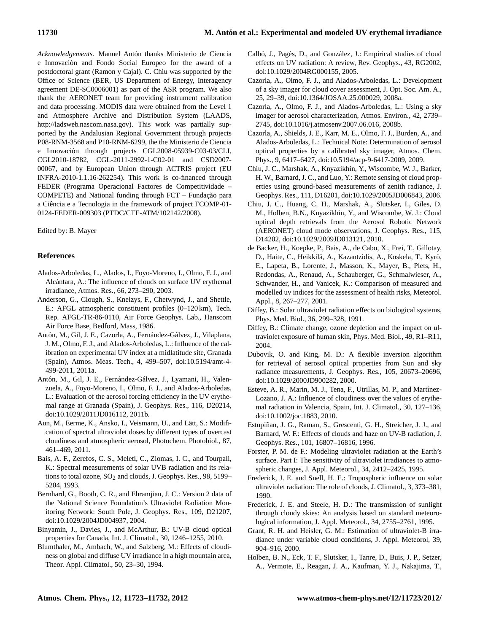*Acknowledgements.* Manuel Antón thanks Ministerio de Ciencia e Innovacion and Fondo Social Europeo for the award of a ´ postdoctoral grant (Ramon y Cajal). C. Chiu was supported by the Office of Science (BER, US Department of Energy, Interagency agreement DE-SC0006001) as part of the ASR program. We also thank the AERONET team for providing instrument calibration and data processing. MODIS data were obtained from the Level 1 and Atmosphere Archive and Distribution System (LAADS, [http://ladsweb.nascom.nasa.gov\)](http://ladsweb.nascom.nasa.gov). This work was partially supported by the Andalusian Regional Government through projects P08-RNM-3568 and P10-RNM-6299, the the Ministerio de Ciencia e Innovación through projects CGL2008-05939-C03-03/CLI, CGL2010-18782, CGL-2011-2992-1-C02-01 and CSD2007- 00067, and by European Union through ACTRIS project (EU INFRA-2010-1.1.16-262254). This work is co-financed through FEDER (Programa Operacional Factores de Competitividade –  $COMPETE$ ) and National funding through  $FCT$  – Fundação para a Ciencia e a Tecnologia in the framework of project FCOMP-01- ˆ 0124-FEDER-009303 (PTDC/CTE-ATM/102142/2008).

Edited by: B. Mayer

## **References**

- Alados-Arboledas, L., Alados, I., Foyo-Moreno, I., Olmo, F. J., and Alcántara, A.: The influence of clouds on surface UV erythemal irradiance, Atmos. Res., 66, 273–290, 2003.
- Anderson, G., Clough, S., Kneizys, F., Chetwynd, J., and Shettle, E.: AFGL atmospheric constituent profiles (0–120 km), Tech. Rep. AFGL-TR-86-0110, Air Force Geophys. Lab., Hanscom Air Force Base, Bedford, Mass, 1986.
- Antón, M., Gil, J. E., Cazorla, A., Fernández-Gálvez, J., Vilaplana, J. M., Olmo, F. J., and Alados-Arboledas, L.: Influence of the calibration on experimental UV index at a midlatitude site, Granada (Spain), Atmos. Meas. Tech., 4, 499–507, [doi:10.5194/amt-4-](http://dx.doi.org/10.5194/amt-4-499-2011) [499-2011,](http://dx.doi.org/10.5194/amt-4-499-2011) 2011a.
- Antón, M., Gil, J. E., Fernández-Gálvez, J., Lyamani, H., Valenzuela, A., Foyo-Moreno, I., Olmo, F. J., and Alados-Arboledas, L.: Evaluation of the aerosol forcing efficiency in the UV erythemal range at Granada (Spain), J. Geophys. Res., 116, D20214, [doi:10.1029/2011JD016112,](http://dx.doi.org/10.1029/2011JD016112) 2011b.
- Aun, M., Eerme, K., Ansko, I., Veismann, U., and Lätt, S.: Modification of spectral ultraviolet doses by different types of overcast cloudiness and atmospheric aerosol, Photochem. Photobiol., 87, 461–469, 2011.
- Bais, A. F., Zerefos, C. S., Meleti, C., Ziomas, I. C., and Tourpali, K.: Spectral measurements of solar UVB radiation and its relations to total ozone,  $SO_2$  and clouds, J. Geophys. Res., 98, 5199– 5204, 1993.
- Bernhard, G., Booth, C. R., and Ehramjian, J. C.: Version 2 data of the National Science Foundation's Ultraviolet Radiation Monitoring Network: South Pole, J. Geophys. Res., 109, D21207, [doi:10.1029/2004JD004937,](http://dx.doi.org/10.1029/2004JD004937) 2004.
- Binyamin, J., Davies, J., and McArthur, B.: UV-B cloud optical properties for Canada, Int. J. Climatol., 30, 1246–1255, 2010.
- Blumthaler, M., Ambach, W., and Salzberg, M.: Effects of cloudiness on global and diffuse UV irradiance in a high mountain area, Theor. Appl. Climatol., 50, 23–30, 1994.
- Calbó, J., Pagés, D., and González, J.: Empirical studies of cloud effects on UV radiation: A review, Rev. Geophys., 43, RG2002, [doi:10.1029/2004RG000155,](http://dx.doi.org/10.1029/2004RG000155) 2005.
- Cazorla, A., Olmo, F. J., and Alados-Arboledas, L.: Development of a sky imager for cloud cover assessment, J. Opt. Soc. Am. A., 25, 29–39, [doi:10.1364/JOSAA.25.000029,](http://dx.doi.org/10.1364/JOSAA.25.000029) 2008a.
- Cazorla, A., Olmo, F. J., and Alados-Arboledas, L.: Using a sky imager for aerosol characterization, Atmos. Environ., 42, 2739– 2745, [doi:10.1016/j.atmosenv.2007.06.016,](http://dx.doi.org/10.1016/j.atmosenv.2007.06.016) 2008b.
- Cazorla, A., Shields, J. E., Karr, M. E., Olmo, F. J., Burden, A., and Alados-Arboledas, L.: Technical Note: Determination of aerosol optical properties by a calibrated sky imager, Atmos. Chem. Phys., 9, 6417–6427, [doi:10.5194/acp-9-6417-2009,](http://dx.doi.org/10.5194/acp-9-6417-2009) 2009.
- Chiu, J. C., Marshak, A., Knyazikhin, Y., Wiscombe, W. J., Barker, H. W., Barnard, J. C., and Luo, Y.: Remote sensing of cloud properties using ground-based measurements of zenith radiance, J. Geophys. Res., 111, D16201, [doi:10.1029/2005JD006843,](http://dx.doi.org/10.1029/2005JD006843) 2006.
- Chiu, J. C., Huang, C. H., Marshak, A., Slutsker, I., Giles, D. M., Holben, B.N., Knyazikhin, Y., and Wiscombe, W. J.: Cloud optical depth retrievals from the Aerosol Robotic Network (AERONET) cloud mode observations, J. Geophys. Res., 115, D14202, [doi:10.1029/2009JD013121,](http://dx.doi.org/10.1029/2009JD013121) 2010.
- de Backer, H., Koepke, P., Bais, A., de Cabo, X., Frei, T., Gillotay, D., Haite, C., Heikkilä, A., Kazantzidis, A., Koskela, T., Kyrö, E., Lapeta, B., Lorente, J., Masson, K., Mayer, B., Plets, H., Redondas, A., Renaud, A., Schauberger, G., Schmalwieser, A., Schwander, H., and Vanicek, K.: Comparison of measured and modelled uv indices for the assessment of health risks, Meteorol. Appl., 8, 267–277, 2001.
- Diffey, B.: Solar ultraviolet radiation effects on biological systems, Phys. Med. Biol., 36, 299–328, 1991.
- Diffey, B.: Climate change, ozone depletion and the impact on ultraviolet exposure of human skin, Phys. Med. Biol., 49, R1–R11, 2004.
- Dubovik, O. and King, M. D.: A flexible inversion algorithm for retrieval of aerosol optical properties from Sun and sky radiance measurements, J. Geophys. Res., 105, 20673–20696, [doi:10.1029/2000JD900282,](http://dx.doi.org/10.1029/2000JD900282) 2000.
- Esteve, A. R., Marin, M. J., Tena, F., Utrillas, M. P., and Martínez-Lozano, J. A.: Influence of cloudiness over the values of erythemal radiation in Valencia, Spain, Int. J. Climatol., 30, 127–136, [doi:10.1002/joc.1883,](http://dx.doi.org/10.1002/joc.1883) 2010.
- Estupiñan, J. G., Raman, S., Grescenti, G. H., Streicher, J. J., and Barnard, W. F.: Effects of clouds and haze on UV-B radiation, J. Geophys. Res., 101, 16807–16816, 1996.
- Forster, P. M. de F.: Modeling ultraviolet radiation at the Earth's surface. Part I: The sensitivity of ultraviolet irradiances to atmospheric changes, J. Appl. Meteorol., 34, 2412–2425, 1995.
- Frederick, J. E. and Snell, H. E.: Tropospheric influence on solar ultraviolet radiation: The role of clouds, J. Climatol., 3, 373–381, 1990.
- Frederick, J. E. and Steele, H. D.: The transmission of sunlight through cloudy skies: An analysis based on standard meteorological information, J. Appl. Meteorol., 34, 2755–2761, 1995.
- Grant, R. H. and Heisler, G. M.: Estimation of ultraviolet-B irradiance under variable cloud conditions, J. Appl. Meteorol, 39, 904–916, 2000.
- Holben, B. N., Eck, T. F., Slutsker, I., Tanre, D., Buis, J. P., Setzer, A., Vermote, E., Reagan, J. A., Kaufman, Y. J., Nakajima, T.,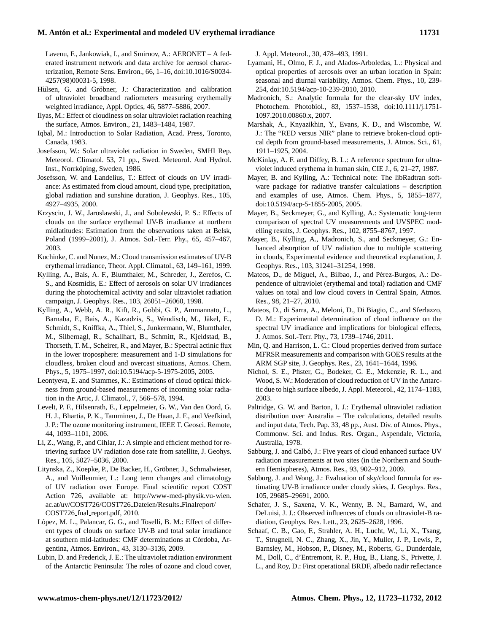#### **M. Anton et al.: Experimental and modeled UV erythemal irradiance 11731 ´**

Lavenu, F., Jankowiak, I., and Smirnov, A.: AERONET – A federated instrument network and data archive for aerosol characterization, Remote Sens. Environ., 66, 1–16, [doi:10.1016/S0034-](http://dx.doi.org/10.1016/S0034-4257(98)00031-5) [4257\(98\)00031-5,](http://dx.doi.org/10.1016/S0034-4257(98)00031-5) 1998.

- Hülsen, G. and Gröbner, J.: Characterization and calibration of ultraviolet broadband radiometers measuring erythemally weighted irradiance, Appl. Optics, 46, 5877–5886, 2007.
- Ilyas, M.: Effect of cloudiness on solar ultraviolet radiation reaching the surface, Atmos. Environ., 21, 1483–1484, 1987.
- Iqbal, M.: Introduction to Solar Radiation, Acad. Press, Toronto, Canada, 1983.
- Josefsson, W.: Solar ultraviolet radiation in Sweden, SMHI Rep. Meteorol. Climatol. 53, 71 pp., Swed. Meteorol. And Hydrol. Inst., Norrköping, Sweden, 1986.
- Josefsson, W. and Landelius, T.: Effect of clouds on UV irradiance: As estimated from cloud amount, cloud type, precipitation, global radiation and sunshine duration, J. Geophys. Res., 105, 4927–4935, 2000.
- Krzyscin, J. W., Jaroslawski, J., and Sobolewski, P. S.: Effects of clouds on the surface erythemal UV-B irradiance at northern midlatitudes: Estimation from the observations taken at Belsk, Poland (1999–2001), J. Atmos. Sol.-Terr. Phy., 65, 457–467, 2003.
- Kuchinke, C. and Nunez, M.: Cloud transmission estimates of UV-B erythemal irradiance, Theor. Appl. Climatol., 63, 149–161, 1999.
- Kylling, A., Bais, A. F., Blumthaler, M., Schreder, J., Zerefos, C. S., and Kosmidis, E.: Effect of aerosols on solar UV irradiances during the photochemical activity and solar ultraviolet radiation campaign, J. Geophys. Res., 103, 26051–26060, 1998.
- Kylling, A., Webb, A. R., Kift, R., Gobbi, G. P., Ammannato, L., Barnaba, F., Bais, A., Kazadzis, S., Wendisch, M., Jakel, E., ¨ Schmidt, S., Kniffka, A., Thiel, S., Junkermann, W., Blumthaler, M., Silbernagl, R., Schallhart, B., Schmitt, R., Kjeldstad, B., Thorseth, T. M., Scheirer, R., and Mayer, B.: Spectral actinic flux in the lower troposphere: measurement and 1-D simulations for cloudless, broken cloud and overcast situations, Atmos. Chem. Phys., 5, 1975–1997, [doi:10.5194/acp-5-1975-2005,](http://dx.doi.org/10.5194/acp-5-1975-2005) 2005.
- Leontyeva, E. and Stammes, K.: Estimations of cloud optical thickness from ground-based measurements of incoming solar radiation in the Artic, J. Climatol., 7, 566–578, 1994.
- Levelt, P. F., Hilsenrath, E., Leppelmeier, G. W., Van den Oord, G. H. J., Bhartia, P. K., Tamminen, J., De Haan, J. F., and Veefkind, J. P.: The ozone monitoring instrument, IEEE T. Geosci. Remote, 44, 1093–1101, 2006.
- Li, Z., Wang, P., and Cihlar, J.: A simple and efficient method for retrieving surface UV radiation dose rate from satellite, J. Geohys. Res., 105, 5027–5036, 2000.
- Litynska, Z., Koepke, P., De Backer, H., Gröbner, J., Schmalwieser, A., and Vuilleumier, L.: Long term changes and climatology of UV radiation over Europe. Final scientific report COST Action 726, available at: [http://www-med-physik.vu-wien.](http://www-med-physik.vu-wien.ac.at/uv/COST726/COST726_Dateien/Results_Finalreport/COST726_fnal_report.pdf) [ac.at/uv/COST726/COST726](http://www-med-physik.vu-wien.ac.at/uv/COST726/COST726_Dateien/Results_Finalreport/COST726_fnal_report.pdf) Dateien/Results Finalreport/ COST726 fnal [report.pdf,](http://www-med-physik.vu-wien.ac.at/uv/COST726/COST726_Dateien/Results_Finalreport/COST726_fnal_report.pdf) 2010.
- López, M. L., Palancar, G. G., and Toselli, B. M.: Effect of different types of clouds on surface UV-B and total solar irradiance at southern mid-latitudes: CMF determinations at Córdoba, Argentina, Atmos. Environ., 43, 3130–3136, 2009.
- Lubin, D. and Frederick, J. E.: The ultraviolet radiation environment of the Antarctic Peninsula: The roles of ozone and cloud cover,

J. Appl. Meteorol., 30, 478–493, 1991.

- Lyamani, H., Olmo, F. J., and Alados-Arboledas, L.: Physical and optical properties of aerosols over an urban location in Spain: seasonal and diurnal variability, Atmos. Chem. Phys., 10, 239- 254, [doi:10.5194/acp-10-239-2010,](http://dx.doi.org/10.5194/acp-10-239-2010) 2010.
- Madronich, S.: Analytic formula for the clear-sky UV index, Photochem. Photobiol., 83, 1537–1538, [doi:10.1111/j.1751-](http://dx.doi.org/10.1111/j.1751-1097.2010.00860.x) [1097.2010.00860.x,](http://dx.doi.org/10.1111/j.1751-1097.2010.00860.x) 2007.
- Marshak, A., Knyazikhin, Y., Evans, K. D., and Wiscombe, W. J.: The "RED versus NIR" plane to retrieve broken-cloud optical depth from ground-based measurements, J. Atmos. Sci., 61, 1911–1925, 2004.
- McKinlay, A. F. and Diffey, B. L.: A reference spectrum for ultraviolet induced erythema in human skin, CIE J., 6, 21–27, 1987.
- Mayer, B. and Kylling, A.: Technical note: The libRadtran software package for radiative transfer calculations – description and examples of use, Atmos. Chem. Phys., 5, 1855–1877, [doi:10.5194/acp-5-1855-2005,](http://dx.doi.org/10.5194/acp-5-1855-2005) 2005.
- Mayer, B., Seckmeyer, G., and Kylling, A.: Systematic long-term comparison of spectral UV measurements and UVSPEC modelling results, J. Geophys. Res., 102, 8755–8767, 1997.
- Mayer, B., Kylling, A., Madronich, S., and Seckmeyer, G.: Enhanced absorption of UV radiation due to multiple scattering in clouds, Experimental evidence and theoretical explanation, J. Geophys. Res., 103, 31241–31254, 1998.
- Mateos, D., de Miguel, A., Bilbao, J., and Pérez-Burgos, A.: Dependence of ultraviolet (erythemal and total) radiation and CMF values on total and low cloud covers in Central Spain, Atmos. Res., 98, 21–27, 2010.
- Mateos, D., di Sarra, A., Meloni, D., Di Biagio, C., and Sferlazzo, D. M.: Experimental determination of cloud influence on the spectral UV irradiance and implications for biological effects, J. Atmos. Sol.-Terr. Phy., 73, 1739–1746, 2011.
- Min, Q. and Harrison, L. C.: Cloud properties derived from surface MFRSR measurements and comparison with GOES results at the ARM SGP site, J. Geophys. Res., 23, 1641–1644, 1996.
- Nichol, S. E., Pfister, G., Bodeker, G. E., Mckenzie, R. L., and Wood, S. W.: Moderation of cloud reduction of UV in the Antarctic due to high surface albedo, J. Appl. Meteorol., 42, 1174–1183, 2003.
- Paltridge, G. W. and Barton, I. J.: Erythemal ultraviolet radiation distribution over Australia – The calculations, detailed results and input data, Tech. Pap. 33, 48 pp., Aust. Div. of Atmos. Phys., Commonw. Sci. and Indus. Res. Organ., Aspendale, Victoria, Australia, 1978.
- Sabburg, J. and Calbó, J.: Five years of cloud enhanced surface UV radiation measurements at two sites (in the Northern and Southern Hemispheres), Atmos. Res., 93, 902–912, 2009.
- Sabburg, J. and Wong, J.: Evaluation of sky/cloud formula for estimating UV-B irradiance under cloudy skies, J. Geophys. Res., 105, 29685–29691, 2000.
- Schafer, J. S., Saxena, V. K., Wenny, B. N., Barnard, W., and DeLuisi, J. J.: Observed influences of clouds on ultraviolet-B radiation, Geophys. Res. Lett., 23, 2625–2628, 1996.
- Schaaf, C. B., Gao, F., Strahler, A. H., Lucht, W., Li, X., Tsang, T., Strugnell, N. C., Zhang, X., Jin, Y., Muller, J. P., Lewis, P., Barnsley, M., Hobson, P., Disney, M., Roberts, G., Dunderdale, M., Doll, C., d'Entremont, R. P., Hug, B., Liang, S., Privette, J. L., and Roy, D.: First operational BRDF, albedo nadir reflectance